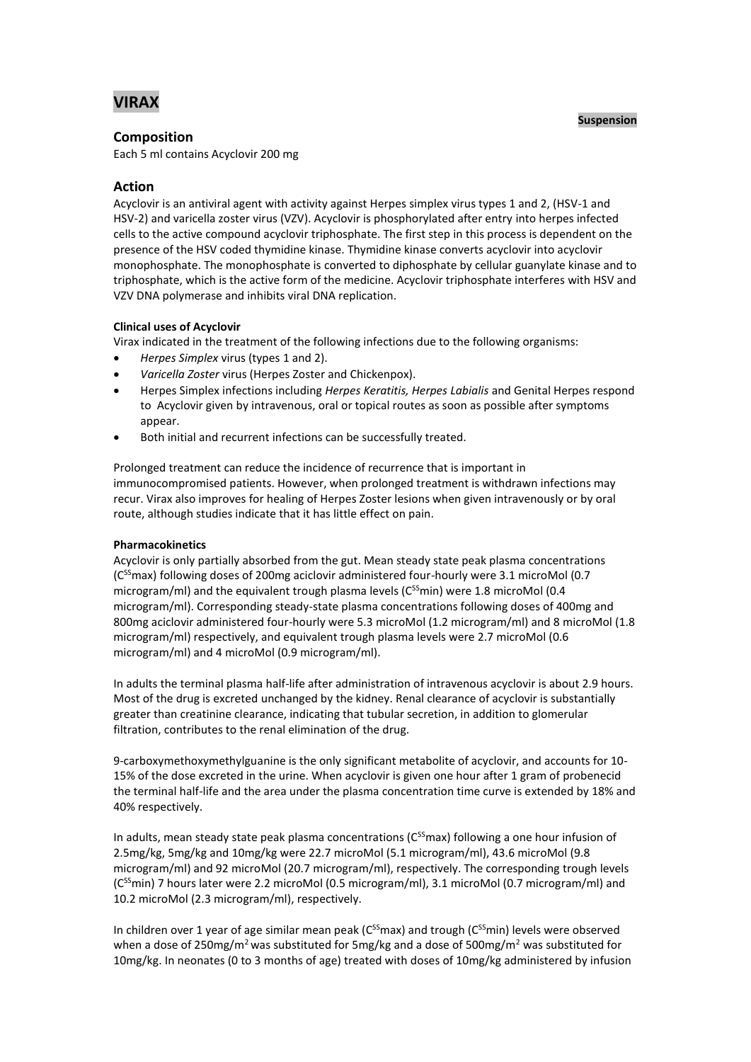# **VIRAX**

# **Composition**

Each 5 ml contains Acyclovir 200 mg

# **Action**

Acyclovir is an antiviral agent with activity against Herpes simplex virus types 1 and 2, (HSV-1 and HSV-2) and varicella zoster virus (VZV). Acyclovir is phosphorylated after entry into herpes infected cells to the active compound acyclovir triphosphate. The first step in this process is dependent on the presence of the HSV coded thymidine kinase. Thymidine kinase converts acyclovir into acyclovir monophosphate. The monophosphate is converted to diphosphate by cellular guanylate kinase and to triphosphate, which is the active form of the medicine. Acyclovir triphosphate interferes with HSV and VZV DNA polymerase and inhibits viral DNA replication.

# **Clinical uses of Acyclovir**

Virax indicated in the treatment of the following infections due to the following organisms:

- *Herpes Simplex* virus (types 1 and 2).
- *Varicella Zoster* virus (Herpes Zoster and Chickenpox).
- Herpes Simplex infections including *Herpes Keratitis, Herpes Labialis* and Genital Herpes respond to Acyclovir given by intravenous, oral or topical routes as soon as possible after symptoms appear.
- Both initial and recurrent infections can be successfully treated.

Prolonged treatment can reduce the incidence of recurrence that is important in immunocompromised patients. However, when prolonged treatment is withdrawn infections may recur. Virax also improves for healing of Herpes Zoster lesions when given intravenously or by oral route, although studies indicate that it has little effect on pain.

# **Pharmacokinetics**

Acyclovir is only partially absorbed from the gut. Mean steady state peak plasma concentrations (C<sup>SS</sup>max) following doses of 200mg aciclovir administered four-hourly were 3.1 microMol (0.7) microgram/ml) and the equivalent trough plasma levels ( $C^{ss}$ min) were 1.8 microMol (0.4 microgram/ml). Corresponding steady-state plasma concentrations following doses of 400mg and 800mg aciclovir administered four-hourly were 5.3 microMol (1.2 microgram/ml) and 8 microMol (1.8 microgram/ml) respectively, and equivalent trough plasma levels were 2.7 microMol (0.6 microgram/ml) and 4 microMol (0.9 microgram/ml).

In adults the terminal plasma half-life after administration of intravenous acyclovir is about 2.9 hours. Most of the drug is excreted unchanged by the kidney. Renal clearance of acyclovir is substantially greater than creatinine clearance, indicating that tubular secretion, in addition to glomerular filtration, contributes to the renal elimination of the drug.

9-carboxymethoxymethylguanine is the only significant metabolite of acyclovir, and accounts for 10- 15% of the dose excreted in the urine. When acyclovir is given one hour after 1 gram of probenecid the terminal half-life and the area under the plasma concentration time curve is extended by 18% and 40% respectively.

In adults, mean steady state peak plasma concentrations ( $C^{SS}$ max) following a one hour infusion of 2.5mg/kg, 5mg/kg and 10mg/kg were 22.7 microMol (5.1 microgram/ml), 43.6 microMol (9.8 microgram/ml) and 92 microMol (20.7 microgram/ml), respectively. The corresponding trough levels  $(C^{SS}$ min) 7 hours later were 2.2 microMol (0.5 microgram/ml), 3.1 microMol (0.7 microgram/ml) and 10.2 microMol (2.3 microgram/ml), respectively.

In children over 1 year of age similar mean peak ( $C^{SS}$ max) and trough ( $C^{SS}$ min) levels were observed when a dose of 250mg/m<sup>2</sup> was substituted for 5mg/kg and a dose of 500mg/m<sup>2</sup> was substituted for 10mg/kg. In neonates (0 to 3 months of age) treated with doses of 10mg/kg administered by infusion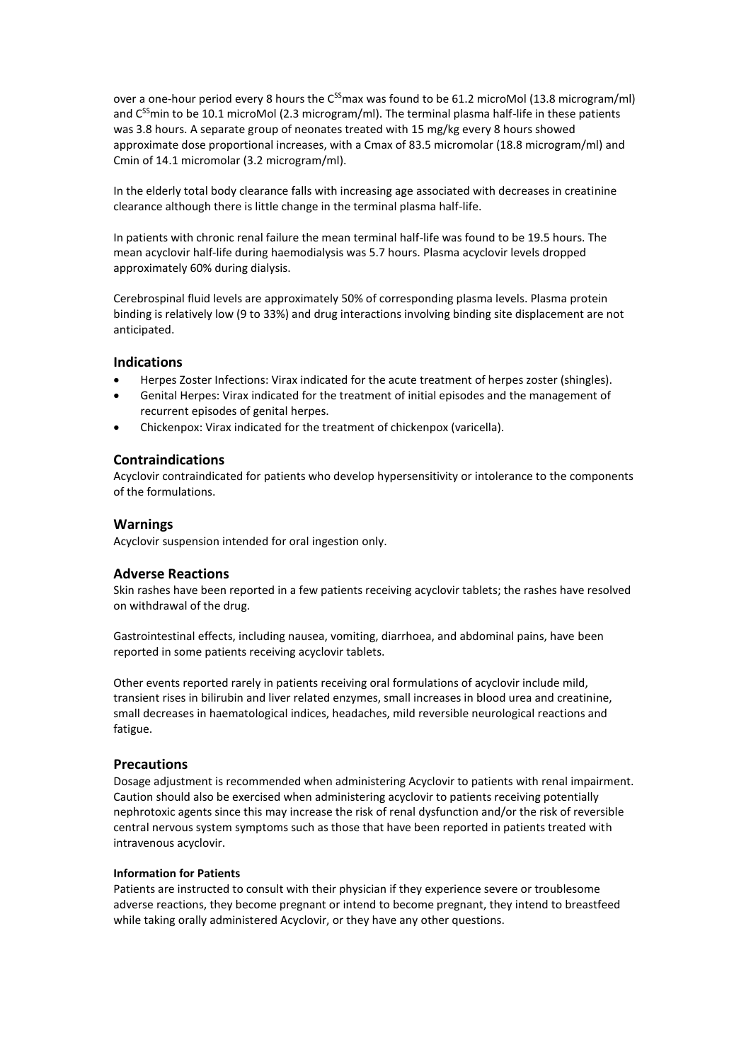over a one-hour period every 8 hours the C<sup>SS</sup>max was found to be 61.2 microMol (13.8 microgram/ml) and C<sup>SS</sup>min to be 10.1 microMol (2.3 microgram/ml). The terminal plasma half-life in these patients was 3.8 hours. A separate group of neonates treated with 15 mg/kg every 8 hours showed approximate dose proportional increases, with a Cmax of 83.5 micromolar (18.8 microgram/ml) and Cmin of 14.1 micromolar (3.2 microgram/ml).

In the elderly total body clearance falls with increasing age associated with decreases in creatinine clearance although there is little change in the terminal plasma half-life.

In patients with chronic renal failure the mean terminal half-life was found to be 19.5 hours. The mean acyclovir half-life during haemodialysis was 5.7 hours. Plasma acyclovir levels dropped approximately 60% during dialysis.

Cerebrospinal fluid levels are approximately 50% of corresponding plasma levels. Plasma protein binding is relatively low (9 to 33%) and drug interactions involving binding site displacement are not anticipated.

# **Indications**

- Herpes Zoster Infections: Virax indicated for the acute treatment of herpes zoster (shingles).
- Genital Herpes: Virax indicated for the treatment of initial episodes and the management of recurrent episodes of genital herpes.
- Chickenpox: Virax indicated for the treatment of chickenpox (varicella).

# **Contraindications**

Acyclovir contraindicated for patients who develop hypersensitivity or intolerance to the components of the formulations.

### **Warnings**

Acyclovir suspension intended for oral ingestion only.

# **Adverse Reactions**

Skin rashes have been reported in a few patients receiving acyclovir tablets; the rashes have resolved on withdrawal of the drug.

Gastrointestinal effects, including nausea, vomiting, diarrhoea, and abdominal pains, have been reported in some patients receiving acyclovir tablets.

Other events reported rarely in patients receiving oral formulations of acyclovir include mild, transient rises in bilirubin and liver related enzymes, small increases in blood urea and creatinine, small decreases in haematological indices, headaches, mild reversible neurological reactions and fatigue.

# **Precautions**

Dosage adjustment is recommended when administering Acyclovir to patients with renal impairment. Caution should also be exercised when administering acyclovir to patients receiving potentially nephrotoxic agents since this may increase the risk of renal dysfunction and/or the risk of reversible central nervous system symptoms such as those that have been reported in patients treated with intravenous acyclovir.

### **Information for Patients**

Patients are instructed to consult with their physician if they experience severe or troublesome adverse reactions, they become pregnant or intend to become pregnant, they intend to breastfeed while taking orally administered Acyclovir, or they have any other questions.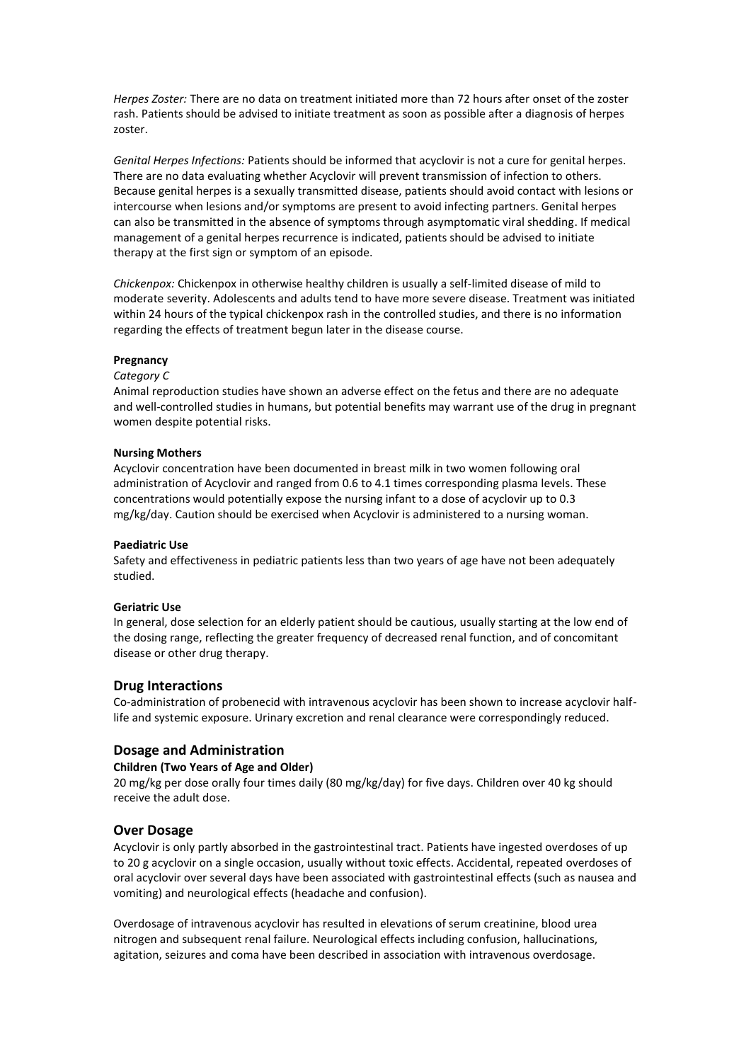*Herpes Zoster:* There are no data on treatment initiated more than 72 hours after onset of the zoster rash. Patients should be advised to initiate treatment as soon as possible after a diagnosis of herpes zoster.

*Genital Herpes Infections:* Patients should be informed that acyclovir is not a cure for genital herpes. There are no data evaluating whether Acyclovir will prevent transmission of infection to others. Because genital herpes is a sexually transmitted disease, patients should avoid contact with lesions or intercourse when lesions and/or symptoms are present to avoid infecting partners. Genital herpes can also be transmitted in the absence of symptoms through asymptomatic viral shedding. If medical management of a genital herpes recurrence is indicated, patients should be advised to initiate therapy at the first sign or symptom of an episode.

*Chickenpox:* Chickenpox in otherwise healthy children is usually a self-limited disease of mild to moderate severity. Adolescents and adults tend to have more severe disease. Treatment was initiated within 24 hours of the typical chickenpox rash in the controlled studies, and there is no information regarding the effects of treatment begun later in the disease course.

### **Pregnancy**

### *Category C*

Animal reproduction studies have shown an adverse effect on the fetus and there are no adequate and well-controlled studies in humans, but potential benefits may warrant use of the drug in pregnant women despite potential risks.

#### **Nursing Mothers**

Acyclovir concentration have been documented in breast milk in two women following oral administration of Acyclovir and ranged from 0.6 to 4.1 times corresponding plasma levels. These concentrations would potentially expose the nursing infant to a dose of acyclovir up to 0.3 mg/kg/day. Caution should be exercised when Acyclovir is administered to a nursing woman.

### **Paediatric Use**

Safety and effectiveness in pediatric patients less than two years of age have not been adequately studied.

### **Geriatric Use**

In general, dose selection for an elderly patient should be cautious, usually starting at the low end of the dosing range, reflecting the greater frequency of decreased renal function, and of concomitant disease or other drug therapy.

### **Drug Interactions**

Co-administration of probenecid with intravenous acyclovir has been shown to increase acyclovir halflife and systemic exposure. Urinary excretion and renal clearance were correspondingly reduced.

### **Dosage and Administration**

#### **Children (Two Years of Age and Older)**

20 mg/kg per dose orally four times daily (80 mg/kg/day) for five days. Children over 40 kg should receive the adult dose.

### **Over Dosage**

Acyclovir is only partly absorbed in the gastrointestinal tract. Patients have ingested overdoses of up to 20 g acyclovir on a single occasion, usually without toxic effects. Accidental, repeated overdoses of oral acyclovir over several days have been associated with gastrointestinal effects (such as nausea and vomiting) and neurological effects (headache and confusion).

Overdosage of intravenous acyclovir has resulted in elevations of serum creatinine, blood urea nitrogen and subsequent renal failure. Neurological effects including confusion, hallucinations, agitation, seizures and coma have been described in association with intravenous overdosage.